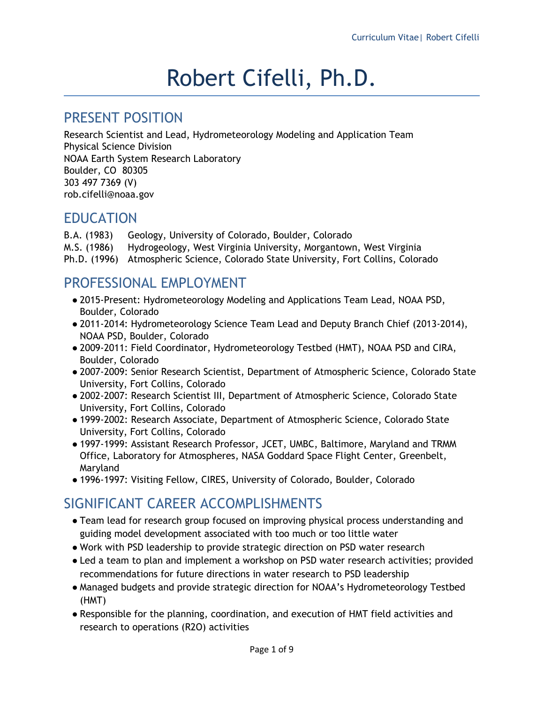# Robert Cifelli, Ph.D.

#### PRESENT POSITION

Research Scientist and Lead, Hydrometeorology Modeling and Application Team Physical Science Division NOAA Earth System Research Laboratory Boulder, CO 80305 303 497 7369 (V) rob.cifelli@noaa.gov

#### EDUCATION

B.A. (1983) Geology, University of Colorado, Boulder, Colorado M.S. (1986) Hydrogeology, West Virginia University, Morgantown, West Virginia Ph.D. (1996) Atmospheric Science, Colorado State University, Fort Collins, Colorado

## PROFESSIONAL EMPLOYMENT

- 2015-Present: Hydrometeorology Modeling and Applications Team Lead, NOAA PSD, Boulder, Colorado
- 2011-2014: Hydrometeorology Science Team Lead and Deputy Branch Chief (2013-2014), NOAA PSD, Boulder, Colorado
- 2009-2011: Field Coordinator, Hydrometeorology Testbed (HMT), NOAA PSD and CIRA, Boulder, Colorado
- 2007-2009: Senior Research Scientist, Department of Atmospheric Science, Colorado State University, Fort Collins, Colorado
- 2002-2007: Research Scientist III, Department of Atmospheric Science, Colorado State University, Fort Collins, Colorado
- 1999-2002: Research Associate, Department of Atmospheric Science, Colorado State University, Fort Collins, Colorado
- 1997-1999: Assistant Research Professor, JCET, UMBC, Baltimore, Maryland and TRMM Office, Laboratory for Atmospheres, NASA Goddard Space Flight Center, Greenbelt, Maryland
- 1996-1997: Visiting Fellow, CIRES, University of Colorado, Boulder, Colorado

# SIGNIFICANT CAREER ACCOMPLISHMENTS

- Team lead for research group focused on improving physical process understanding and guiding model development associated with too much or too little water
- Work with PSD leadership to provide strategic direction on PSD water research
- Led a team to plan and implement a workshop on PSD water research activities; provided recommendations for future directions in water research to PSD leadership
- Managed budgets and provide strategic direction for NOAA's Hydrometeorology Testbed (HMT)
- Responsible for the planning, coordination, and execution of HMT field activities and research to operations (R2O) activities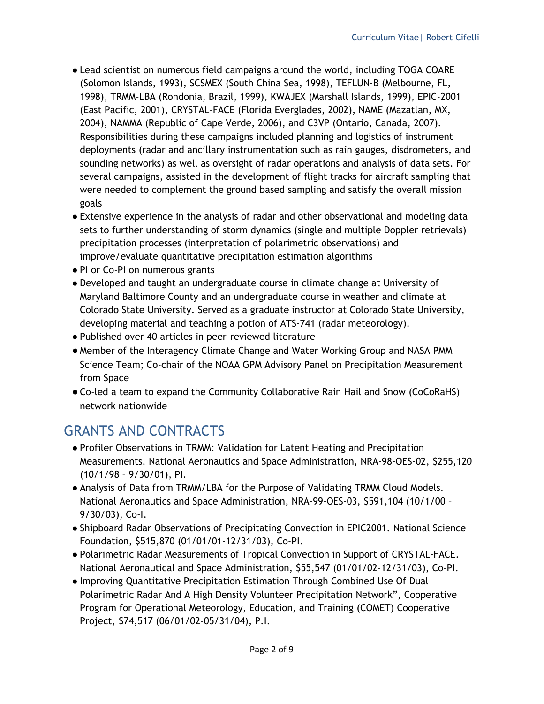- Lead scientist on numerous field campaigns around the world, including TOGA COARE (Solomon Islands, 1993), SCSMEX (South China Sea, 1998), TEFLUN-B (Melbourne, FL, 1998), TRMM-LBA (Rondonia, Brazil, 1999), KWAJEX (Marshall Islands, 1999), EPIC-2001 (East Pacific, 2001), CRYSTAL-FACE (Florida Everglades, 2002), NAME (Mazatlan, MX, 2004), NAMMA (Republic of Cape Verde, 2006), and C3VP (Ontario, Canada, 2007). Responsibilities during these campaigns included planning and logistics of instrument deployments (radar and ancillary instrumentation such as rain gauges, disdrometers, and sounding networks) as well as oversight of radar operations and analysis of data sets. For several campaigns, assisted in the development of flight tracks for aircraft sampling that were needed to complement the ground based sampling and satisfy the overall mission goals
- Extensive experience in the analysis of radar and other observational and modeling data sets to further understanding of storm dynamics (single and multiple Doppler retrievals) precipitation processes (interpretation of polarimetric observations) and improve/evaluate quantitative precipitation estimation algorithms
- PI or Co-PI on numerous grants
- Developed and taught an undergraduate course in climate change at University of Maryland Baltimore County and an undergraduate course in weather and climate at Colorado State University. Served as a graduate instructor at Colorado State University, developing material and teaching a potion of ATS-741 (radar meteorology).
- Published over 40 articles in peer-reviewed literature
- Member of the Interagency Climate Change and Water Working Group and NASA PMM Science Team; Co-chair of the NOAA GPM Advisory Panel on Precipitation Measurement from Space
- ●Co-led a team to expand the Community Collaborative Rain Hail and Snow (CoCoRaHS) network nationwide

## GRANTS AND CONTRACTS

- Profiler Observations in TRMM: Validation for Latent Heating and Precipitation Measurements. National Aeronautics and Space Administration, NRA-98-OES-02, \$255,120 (10/1/98 – 9/30/01), PI.
- Analysis of Data from TRMM/LBA for the Purpose of Validating TRMM Cloud Models. National Aeronautics and Space Administration, NRA-99-OES-03, \$591,104 (10/1/00 – 9/30/03), Co-I.
- Shipboard Radar Observations of Precipitating Convection in EPIC2001. National Science Foundation, \$515,870 (01/01/01-12/31/03), Co-PI.
- Polarimetric Radar Measurements of Tropical Convection in Support of CRYSTAL-FACE. National Aeronautical and Space Administration, \$55,547 (01/01/02-12/31/03), Co-PI.
- Improving Quantitative Precipitation Estimation Through Combined Use Of Dual Polarimetric Radar And A High Density Volunteer Precipitation Network", Cooperative Program for Operational Meteorology, Education, and Training (COMET) Cooperative Project, \$74,517 (06/01/02-05/31/04), P.I.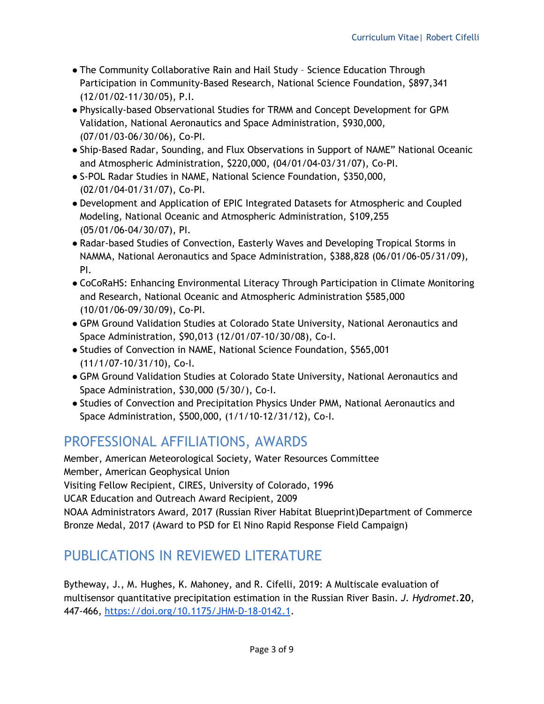- The Community Collaborative Rain and Hail Study Science Education Through Participation in Community-Based Research, National Science Foundation, \$897,341 (12/01/02-11/30/05), P.I.
- Physically-based Observational Studies for TRMM and Concept Development for GPM Validation, National Aeronautics and Space Administration, \$930,000, (07/01/03-06/30/06), Co-PI.
- Ship-Based Radar, Sounding, and Flux Observations in Support of NAME" National Oceanic and Atmospheric Administration, \$220,000, (04/01/04-03/31/07), Co-PI.
- S-POL Radar Studies in NAME, National Science Foundation, \$350,000, (02/01/04-01/31/07), Co-PI.
- Development and Application of EPIC Integrated Datasets for Atmospheric and Coupled Modeling, National Oceanic and Atmospheric Administration, \$109,255 (05/01/06-04/30/07), PI.
- Radar-based Studies of Convection, Easterly Waves and Developing Tropical Storms in NAMMA, National Aeronautics and Space Administration, \$388,828 (06/01/06-05/31/09), PI.
- CoCoRaHS: Enhancing Environmental Literacy Through Participation in Climate Monitoring and Research, National Oceanic and Atmospheric Administration \$585,000 (10/01/06-09/30/09), Co-PI.
- GPM Ground Validation Studies at Colorado State University, National Aeronautics and Space Administration, \$90,013 (12/01/07-10/30/08), Co-I.
- Studies of Convection in NAME, National Science Foundation, \$565,001 (11/1/07-10/31/10), Co-I.
- GPM Ground Validation Studies at Colorado State University, National Aeronautics and Space Administration, \$30,000 (5/30/), Co-I.
- Studies of Convection and Precipitation Physics Under PMM, National Aeronautics and Space Administration, \$500,000, (1/1/10-12/31/12), Co-I.

## PROFESSIONAL AFFILIATIONS, AWARDS

Member, American Meteorological Society, Water Resources Committee Member, American Geophysical Union Visiting Fellow Recipient, CIRES, University of Colorado, 1996 UCAR Education and Outreach Award Recipient, 2009 NOAA Administrators Award, 2017 (Russian River Habitat Blueprint)Department of Commerce Bronze Medal, 2017 (Award to PSD for El Nino Rapid Response Field Campaign)

### PUBLICATIONS IN REVIEWED LITERATURE

Bytheway, J., M. Hughes, K. Mahoney, and R. Cifelli, 2019: A Multiscale evaluation of multisensor quantitative precipitation estimation in the Russian River Basin. *J. Hydromet*.**20**, 447-466, <https://doi.org/10.1175/JHM-D-18-0142.1>.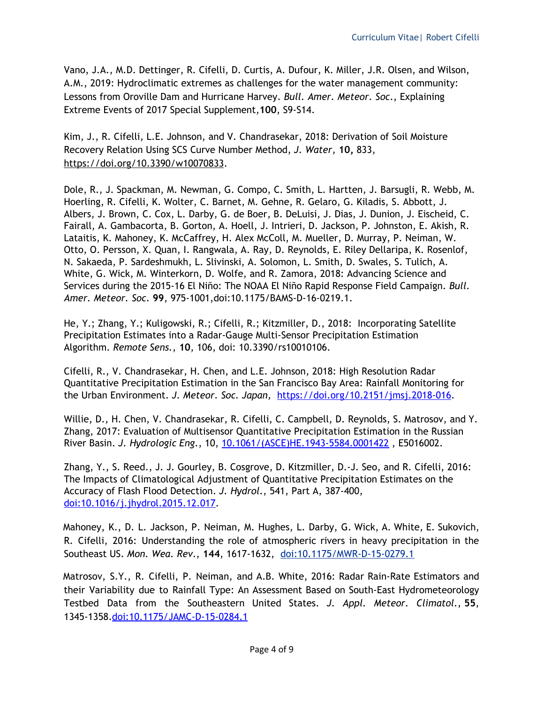Vano, J.A., M.D. Dettinger, R. Cifelli, D. Curtis, A. Dufour, K. Miller, J.R. Olsen, and Wilson, A.M., 2019: Hydroclimatic extremes as challenges for the water management community: Lessons from Oroville Dam and Hurricane Harvey. *Bull. Amer. Meteor. Soc*., Explaining Extreme Events of 2017 Special Supplement,**100**, S9-S14.

Kim, J., R. Cifelli, L.E. Johnson, and V. Chandrasekar, 2018: Derivation of Soil Moisture Recovery Relation Using SCS Curve Number Method, *J. Water,* **10,** 833, <https://doi.org/10.3390/w10070833>.

Dole, R., J. Spackman, M. Newman, G. Compo, C. Smith, L. Hartten, J. Barsugli, R. Webb, M. Hoerling, R. Cifelli, K. Wolter, C. Barnet, M. Gehne, R. Gelaro, G. Kiladis, S. Abbott, J. Albers, J. Brown, C. Cox, L. Darby, G. de Boer, B. DeLuisi, J. Dias, J. Dunion, J. Eischeid, C. Fairall, A. Gambacorta, B. Gorton, A. Hoell, J. Intrieri, D. Jackson, P. Johnston, E. Akish, R. Lataitis, K. Mahoney, K. McCaffrey, H. Alex McColl, M. Mueller, D. Murray, P. Neiman, W. Otto, O. Persson, X. Quan, I. Rangwala, A. Ray, D. Reynolds, E. Riley Dellaripa, K. Rosenlof, N. Sakaeda, P. Sardeshmukh, L. Slivinski, A. Solomon, L. Smith, D. Swales, S. Tulich, A. White, G. Wick, M. Winterkorn, D. Wolfe, and R. Zamora, 2018: Advancing Science and Services during the 2015-16 El Niño: The NOAA El Niño Rapid Response Field Campaign. *Bull. Amer. Meteor. Soc*. **99**, 975-1001,doi:10.1175/BAMS-D-16-0219.1.

He, Y.; Zhang, Y.; Kuligowski, R.; Cifelli, R.; Kitzmiller, D., 2018: Incorporating Satellite Precipitation Estimates into a Radar-Gauge Multi-Sensor Precipitation Estimation Algorithm. *Remote Sens.*, **10**, 106, doi: 10.3390/rs10010106.

Cifelli, R., V. Chandrasekar, H. Chen, and L.E. Johnson, 2018: High Resolution Radar Quantitative Precipitation Estimation in the San Francisco Bay Area: Rainfall Monitoring for the Urban Environment. *J. Meteor. Soc. Japan,* <https://doi.org/10.2151/jmsj.2018-016>.

Willie, D., H. Chen, V. Chandrasekar, R. Cifelli, C. Campbell, D. Reynolds, S. Matrosov, and Y. Zhang, 2017: Evaluation of Multisensor Quantitative Precipitation Estimation in the Russian River Basin. *J. Hydrologic Eng*., 10, [10.1061/\(ASCE\)HE.1943-5584.0001422](http://ascelibrary.org/doi/abs/10.1061/%28ASCE%29HE.1943-5584.0001422) , E5016002.

Zhang, Y., S. Reed., J. J. Gourley, B. Cosgrove, D. Kitzmiller, D.-J. Seo, and R. Cifelli, 2016: The Impacts of Climatological Adjustment of Quantitative Precipitation Estimates on the Accuracy of Flash Flood Detection. *J. Hydrol.*, 541, Part A, 387-400, [doi:10.1016/j.jhydrol.2015.12.017.](http://dx.doi.org/10.1016/j.jhydrol.2015.12.017)

Mahoney, K., D. L. Jackson, P. Neiman, M. Hughes, L. Darby, G. Wick, A. White, E. Sukovich, R. Cifelli, 2016: Understanding the role of atmospheric rivers in heavy precipitation in the Southeast US. *Mon. Wea. Rev*., **144**, 1617-1632, [doi:10.1175/MWR-D-15-0279.1](http://dx.doi.org/10.1175/MWR-D-15-0279.1)

Matrosov, S.Y., R. Cifelli, P. Neiman, and A.B. White, 2016: Radar Rain-Rate Estimators and their Variability due to Rainfall Type: An Assessment Based on South-East Hydrometeorology Testbed Data from the Southeastern United States. *J. Appl. Meteor. Climatol.*, **55**, 1345-1358[.doi:10.1175/JAMC-D-15-0284.1](http://dx.doi.org/10.1175/JAMC-D-15-0284.1)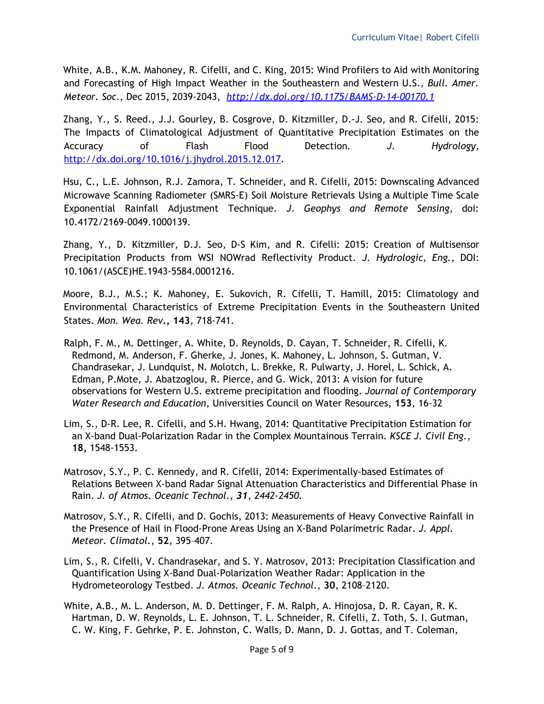White, A.B., K.M. Mahoney, R. Cifelli, and C. King, 2015: Wind Profilers to Aid with Monitoring and Forecasting of High Impact Weather in the Southeastern and Western U.S., *Bull. Amer. Meteor. Soc*., Dec 2015, 2039-2043, *<http://dx.doi.org/10.1175/BAMS-D-14-00170.1>*

Zhang, Y., S. Reed., J.J. Gourley, B. Cosgrove, D. Kitzmiller, D.-J. Seo, and R. Cifelli, 2015: The Impacts of Climatological Adjustment of Quantitative Precipitation Estimates on the Accuracy of Flash Flood Detection*. J. Hydrology*, <http://dx.doi.org/10.1016/j.jhydrol.2015.12.017>.

Hsu, C., L.E. Johnson, R.J. Zamora, T. Schneider, and R. Cifelli, 2015: Downscaling Advanced Microwave Scanning Radiometer (SMRS-E) Soil Moisture Retrievals Using a Multiple Time Scale Exponential Rainfall Adjustment Technique. *J. Geophys and Remote Sensing*, doi: 10.4172/2169-0049.1000139.

Zhang, Y., D. Kitzmiller, D.J. Seo, D-S Kim, and R. Cifelli: 2015: Creation of Multisensor Precipitation Products from WSI NOWrad Reflectivity Product. *J. Hydrologic, Eng.,* DOI: 10.1061/(ASCE)HE.1943-5584.0001216.

Moore, B.J., M.S.; K. Mahoney, E. Sukovich, R. Cifelli, T. Hamill, 2015: Climatology and Environmental Characteristics of Extreme Precipitation Events in the Southeastern United States. *Mon. Wea. Rev***., 143***,* 718-741*.*

- Ralph, F. M., M. Dettinger, A. White, D. Reynolds, D. Cayan, T. Schneider, R. Cifelli, K. Redmond, M. Anderson, F. Gherke, J. Jones, K. Mahoney, L. Johnson, S. Gutman, V. Chandrasekar, J. Lundquist, N. Molotch, L. Brekke, R. Pulwarty, J. Horel, L. Schick, A. Edman, P.Mote, J. Abatzoglou, R. Pierce, and G. Wick, 2013: A vision for future observations for Western U.S. extreme precipitation and flooding. *Journal of Contemporary Water Research and Education*, Universities Council on Water Resources, **153**, 16-32
- Lim, S., D-R. Lee, R. Cifelli, and S.H. Hwang, 2014: Quantitative Precipitation Estimation for an X-band Dual-Polarization Radar in the Complex Mountainous Terrain. *KSCE J. Civil Eng.*, **18,** 1548-1553.
- Matrosov, S.Y., P. C. Kennedy, and R. Cifelli, 2014: Experimentally-based Estimates of Relations Between X-band Radar Signal Attenuation Characteristics and Differential Phase in Rain. *J. of Atmos. Oceanic Technol., 31, 2442-2450.*
- Matrosov, S.Y., R. Cifelli, and D. Gochis, 2013: Measurements of Heavy Convective Rainfall in the Presence of Hail in Flood-Prone Areas Using an X-Band Polarimetric Radar. *J. Appl. Meteor. Climatol.*, **52**, 395–407.
- Lim, S., R. Cifelli, V. Chandrasekar, and S. Y. Matrosov, 2013: Precipitation Classification and Quantification Using X-Band Dual-Polarization Weather Radar: Application in the Hydrometeorology Testbed. *J. Atmos. Oceanic Technol.*, **30**, 2108–2120.
- White, A.B., M. L. Anderson, M. D. Dettinger, F. M. Ralph, A. Hinojosa, D. R. Cayan, R. K. Hartman, D. W. Reynolds, L. E. Johnson, T. L. Schneider, R. Cifelli, Z. Toth, S. I. Gutman, C. W. King, F. Gehrke, P. E. Johnston, C. Walls, D. Mann, D. J. Gottas, and T. Coleman,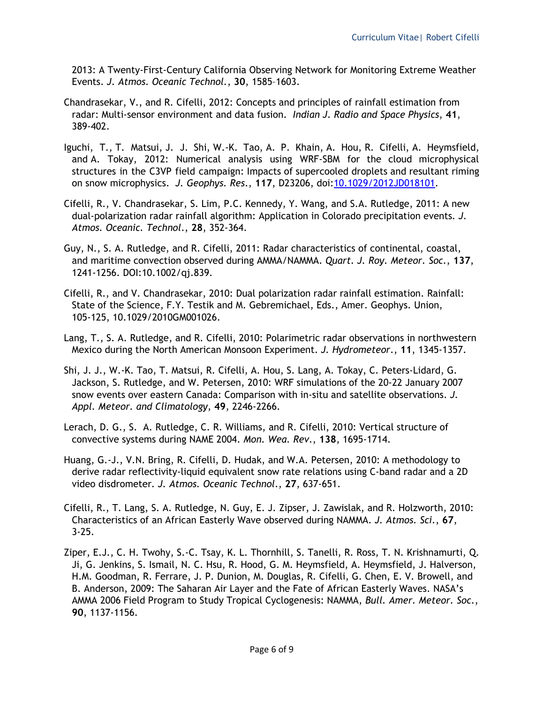2013: A Twenty-First-Century California Observing Network for Monitoring Extreme Weather Events. *J. Atmos. Oceanic Technol.*, **30**, 1585–1603.

- Chandrasekar, V., and R. Cifelli, 2012: Concepts and principles of rainfall estimation from radar: Multi-sensor environment and data fusion. *Indian J. Radio and Space Physics*, **41**, 389-402.
- Iguchi, T., T. Matsui, J. J. Shi, W.-K. Tao, A. P. Khain, A. Hou, R. Cifelli, A. Heymsfield, and A. Tokay, 2012: Numerical analysis using WRF-SBM for the cloud microphysical structures in the C3VP field campaign: Impacts of supercooled droplets and resultant riming on snow microphysics. *J. Geophys. Res*., **117**, D23206, doi:[10.1029/2012JD018101.](http://dx.doi.org/10.1029/2012JD018101)
- Cifelli, R., V. Chandrasekar, S. Lim, P.C. Kennedy, Y. Wang, and S.A. Rutledge, 2011: A new dual-polarization radar rainfall algorithm: Application in Colorado precipitation events*. J. Atmos. Oceanic. Technol*., **28**, 352-364.
- Guy, N., S. A. Rutledge, and R. Cifelli, 2011: Radar characteristics of continental, coastal, and maritime convection observed during AMMA/NAMMA. *Quart. J. Roy. Meteor. Soc.*, **137**, 1241-1256. DOI:10.1002/qj.839.
- Cifelli, R., and V. Chandrasekar, 2010: Dual polarization radar rainfall estimation. Rainfall: State of the Science, F.Y. Testik and M. Gebremichael, Eds., Amer. Geophys. Union, 105-125, 10.1029/2010GM001026.
- Lang, T., S. A. Rutledge, and R. Cifelli, 2010: Polarimetric radar observations in northwestern Mexico during the North American Monsoon Experiment. *J. Hydrometeor*., **11**, 1345-1357.
- Shi, J. J., W.-K. Tao, T. Matsui, R. Cifelli, A. Hou, S. Lang, A. Tokay, C. Peters-Lidard, G. Jackson, S. Rutledge, and W. Petersen, 2010: WRF simulations of the 20-22 January 2007 snow events over eastern Canada: Comparison with in-situ and satellite observations. *J. Appl. Meteor. and Climatology*, **49**, 2246-2266.
- Lerach, D. G., S. A. Rutledge, C. R. Williams, and R. Cifelli, 2010: Vertical structure of convective systems during NAME 2004. *Mon. Wea. Rev*., **138**, 1695-1714.
- Huang, G.-J., V.N. Bring, R. Cifelli, D. Hudak, and W.A. Petersen, 2010: A methodology to derive radar reflectivity-liquid equivalent snow rate relations using C-band radar and a 2D video disdrometer*. J. Atmos. Oceanic Technol*., **27**, 637-651.
- Cifelli, R., T. Lang, S. A. Rutledge, N. Guy, E. J. Zipser, J. Zawislak, and R. Holzworth, 2010: Characteristics of an African Easterly Wave observed during NAMMA. *J. Atmos. Sci.*, **67**, 3-25.
- Ziper, E.J., C. H. Twohy, S.-C. Tsay, K. L. Thornhill, S. Tanelli, R. Ross, T. N. Krishnamurti, Q. Ji, G. Jenkins, S. Ismail, N. C. Hsu, R. Hood, G. M. Heymsfield, A. Heymsfield, J. Halverson, H.M. Goodman, R. Ferrare, J. P. Dunion, M. Douglas, R. Cifelli, G. Chen, E. V. Browell, and B. Anderson, 2009: The Saharan Air Layer and the Fate of African Easterly Waves. NASA's AMMA 2006 Field Program to Study Tropical Cyclogenesis: NAMMA, *Bull. Amer. Meteor. Soc*., **90**, 1137-1156.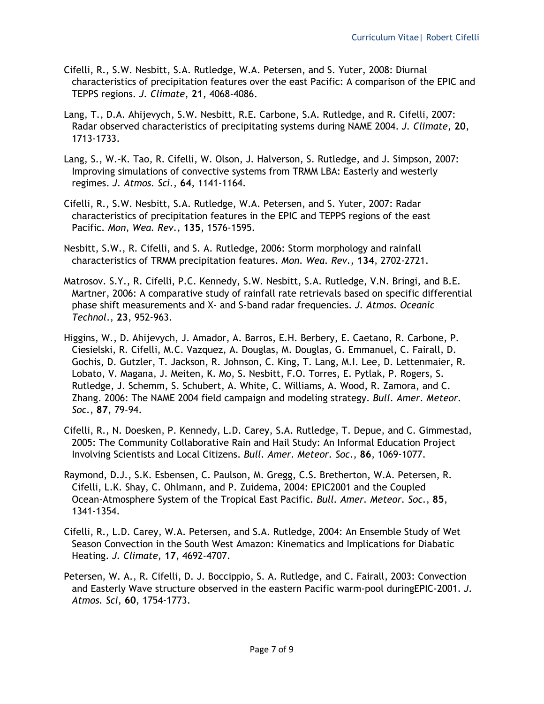- Cifelli, R., S.W. Nesbitt, S.A. Rutledge, W.A. Petersen, and S. Yuter, 2008: Diurnal characteristics of precipitation features over the east Pacific: A comparison of the EPIC and TEPPS regions. *J. Climate*, **21**, 4068-4086.
- Lang, T., D.A. Ahijevych, S.W. Nesbitt, R.E. Carbone, S.A. Rutledge, and R. Cifelli, 2007: Radar observed characteristics of precipitating systems during NAME 2004. *J. Climate*, **20**, 1713-1733.
- Lang, S., W.-K. Tao, R. Cifelli, W. Olson, J. Halverson, S. Rutledge, and J. Simpson, 2007: Improving simulations of convective systems from TRMM LBA: Easterly and westerly regimes. *J. Atmos. Sci.*, **64**, 1141-1164.
- Cifelli, R., S.W. Nesbitt, S.A. Rutledge, W.A. Petersen, and S. Yuter, 2007: Radar characteristics of precipitation features in the EPIC and TEPPS regions of the east Pacific. *Mon, Wea. Rev*., **135**, 1576-1595.
- Nesbitt, S.W., R. Cifelli, and S. A. Rutledge, 2006: Storm morphology and rainfall characteristics of TRMM precipitation features. *Mon. Wea. Rev*., **134**, 2702-2721.
- Matrosov. S.Y., R. Cifelli, P.C. Kennedy, S.W. Nesbitt, S.A. Rutledge, V.N. Bringi, and B.E. Martner, 2006: A comparative study of rainfall rate retrievals based on specific differential phase shift measurements and X- and S-band radar frequencies. *J. Atmos. Oceanic Technol*., **23**, 952-963.
- Higgins, W., D. Ahijevych, J. Amador, A. Barros, E.H. Berbery, E. Caetano, R. Carbone, P. Ciesielski, R. Cifelli, M.C. Vazquez, A. Douglas, M. Douglas, G. Emmanuel, C. Fairall, D. Gochis, D. Gutzler, T. Jackson, R. Johnson, C. King, T. Lang, M.I. Lee, D. Lettenmaier, R. Lobato, V. Magana, J. Meiten, K. Mo, S. Nesbitt, F.O. Torres, E. Pytlak, P. Rogers, S. Rutledge, J. Schemm, S. Schubert, A. White, C. Williams, A. Wood, R. Zamora, and C. Zhang. 2006: The NAME 2004 field campaign and modeling strategy. *Bull. Amer. Meteor. Soc*., **87**, 79-94.
- Cifelli, R., N. Doesken, P. Kennedy, L.D. Carey, S.A. Rutledge, T. Depue, and C. Gimmestad, 2005: The Community Collaborative Rain and Hail Study: An Informal Education Project Involving Scientists and Local Citizens. *Bull. Amer. Meteor. Soc*., **86**, 1069-1077.
- Raymond, D.J., S.K. Esbensen, C. Paulson, M. Gregg, C.S. Bretherton, W.A. Petersen, R. Cifelli, L.K. Shay, C. Ohlmann, and P. Zuidema, 2004: EPIC2001 and the Coupled Ocean-Atmosphere System of the Tropical East Pacific. *Bull. Amer. Meteor. Soc*., **85**, 1341-1354.
- Cifelli, R., L.D. Carey, W.A. Petersen, and S.A. Rutledge, 2004: An Ensemble Study of Wet Season Convection in the South West Amazon: Kinematics and Implications for Diabatic Heating. *J. Climate*, **17**, 4692-4707.
- Petersen, W. A., R. Cifelli, D. J. Boccippio, S. A. Rutledge, and C. Fairall, 2003: Convection and Easterly Wave structure observed in the eastern Pacific warm-pool duringEPIC-2001. *J. Atmos. Sci*, **60**, 1754-1773.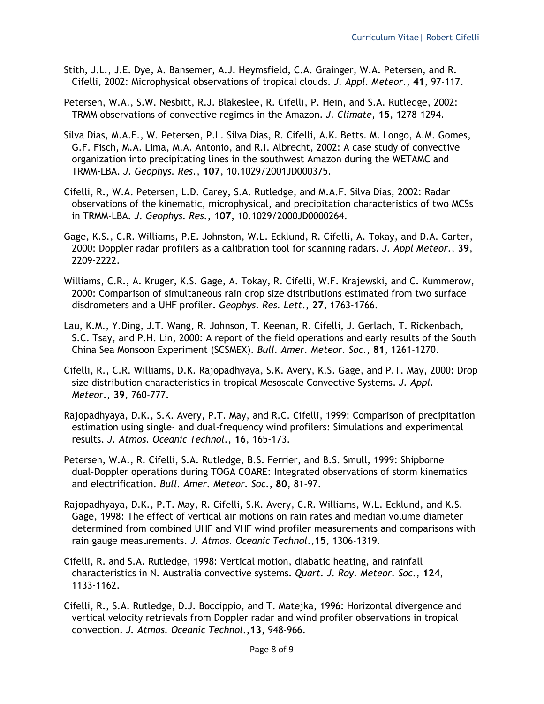- Stith, J.L., J.E. Dye, A. Bansemer, A.J. Heymsfield, C.A. Grainger, W.A. Petersen, and R. Cifelli, 2002: Microphysical observations of tropical clouds. *J. Appl. Meteor*., **41**, 97-117.
- Petersen, W.A., S.W. Nesbitt, R.J. Blakeslee, R. Cifelli, P. Hein, and S.A. Rutledge, 2002: TRMM observations of convective regimes in the Amazon. *J. Climate*, **15**, 1278-1294.
- Silva Dias, M.A.F., W. Petersen, P.L. Silva Dias, R. Cifelli, A.K. Betts. M. Longo, A.M. Gomes, G.F. Fisch, M.A. Lima, M.A. Antonio, and R.I. Albrecht, 2002: A case study of convective organization into precipitating lines in the southwest Amazon during the WETAMC and TRMM-LBA. *J. Geophys. Res*., **107**, 10.1029/2001JD000375.
- Cifelli, R., W.A. Petersen, L.D. Carey, S.A. Rutledge, and M.A.F. Silva Dias, 2002: Radar observations of the kinematic, microphysical, and precipitation characteristics of two MCSs in TRMM-LBA*. J. Geophys. Res*., **107**, 10.1029/2000JD0000264.
- Gage, K.S., C.R. Williams, P.E. Johnston, W.L. Ecklund, R. Cifelli, A. Tokay, and D.A. Carter, 2000: Doppler radar profilers as a calibration tool for scanning radars. *J. Appl Meteor*., **39**, 2209-2222.
- Williams, C.R., A. Kruger, K.S. Gage, A. Tokay, R. Cifelli, W.F. Krajewski, and C. Kummerow, 2000: Comparison of simultaneous rain drop size distributions estimated from two surface disdrometers and a UHF profiler. *Geophys. Res. Lett*., **27**, 1763-1766.
- Lau, K.M., Y.Ding, J.T. Wang, R. Johnson, T. Keenan, R. Cifelli, J. Gerlach, T. Rickenbach, S.C. Tsay, and P.H. Lin, 2000: A report of the field operations and early results of the South China Sea Monsoon Experiment (SCSMEX). *Bull. Amer. Meteor. Soc*., **81**, 1261-1270.
- Cifelli, R., C.R. Williams, D.K. Rajopadhyaya, S.K. Avery, K.S. Gage, and P.T. May, 2000: Drop size distribution characteristics in tropical Mesoscale Convective Systems. *J. Appl. Meteor*., **39**, 760-777.
- Rajopadhyaya, D.K., S.K. Avery, P.T. May, and R.C. Cifelli, 1999: Comparison of precipitation estimation using single- and dual-frequency wind profilers: Simulations and experimental results. *J. Atmos. Oceanic Technol*., **16**, 165-173.
- Petersen, W.A., R. Cifelli, S.A. Rutledge, B.S. Ferrier, and B.S. Smull, 1999: Shipborne dual-Doppler operations during TOGA COARE: Integrated observations of storm kinematics and electrification. *Bull. Amer. Meteor. Soc*., **80**, 81-97.
- Rajopadhyaya, D.K., P.T. May, R. Cifelli, S.K. Avery, C.R. Williams, W.L. Ecklund, and K.S. Gage, 1998: The effect of vertical air motions on rain rates and median volume diameter determined from combined UHF and VHF wind profiler measurements and comparisons with rain gauge measurements. *J. Atmos. Oceanic Technol*.,**15**, 1306-1319.
- Cifelli, R. and S.A. Rutledge, 1998: Vertical motion, diabatic heating, and rainfall characteristics in N. Australia convective systems. *Quart. J. Roy. Meteor. Soc*., **124**, 1133-1162.
- Cifelli, R., S.A. Rutledge, D.J. Boccippio, and T. Matejka, 1996: Horizontal divergence and vertical velocity retrievals from Doppler radar and wind profiler observations in tropical convection. *J. Atmos. Oceanic Technol*.,**13**, 948-966.